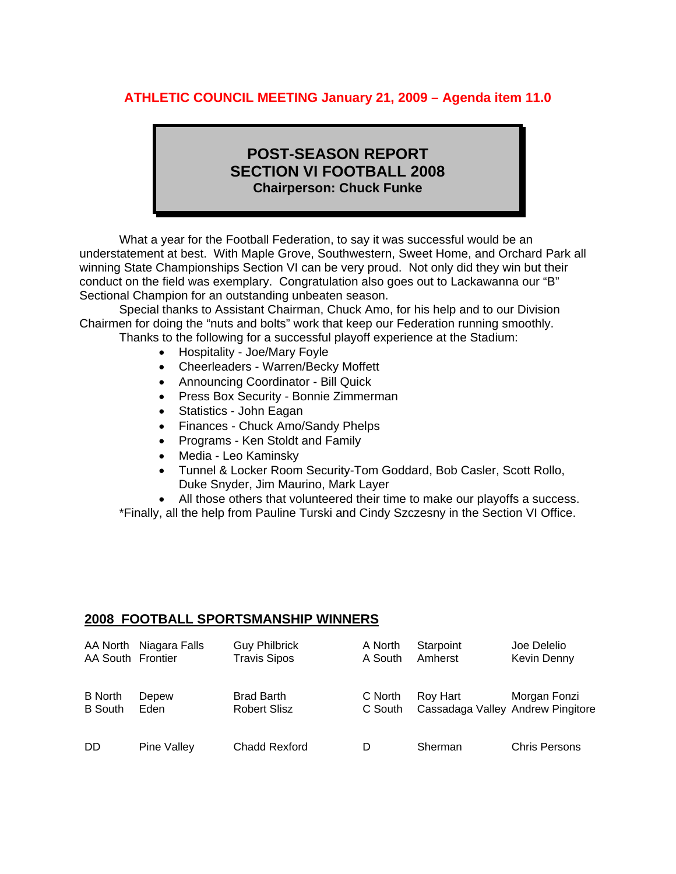## **ATHLETIC COUNCIL MEETING January 21, 2009 – Agenda item 11.0**

# **POST-SEASON REPORT SECTION VI FOOTBALL 2008 Chairperson: Chuck Funke**

 What a year for the Football Federation, to say it was successful would be an understatement at best. With Maple Grove, Southwestern, Sweet Home, and Orchard Park all winning State Championships Section VI can be very proud. Not only did they win but their conduct on the field was exemplary. Congratulation also goes out to Lackawanna our "B" Sectional Champion for an outstanding unbeaten season.

 Special thanks to Assistant Chairman, Chuck Amo, for his help and to our Division Chairmen for doing the "nuts and bolts" work that keep our Federation running smoothly. Thanks to the following for a successful playoff experience at the Stadium:

- Hospitality Joe/Mary Foyle
- Cheerleaders Warren/Becky Moffett
- Announcing Coordinator Bill Quick
- Press Box Security Bonnie Zimmerman
- Statistics John Eagan
- Finances Chuck Amo/Sandy Phelps
- Programs Ken Stoldt and Family
- Media Leo Kaminsky
- Tunnel & Locker Room Security-Tom Goddard, Bob Casler, Scott Rollo, Duke Snyder, Jim Maurino, Mark Layer
- All those others that volunteered their time to make our playoffs a success.

\*Finally, all the help from Pauline Turski and Cindy Szczesny in the Section VI Office.

#### **2008 FOOTBALL SPORTSMANSHIP WINNERS**

| AA South Frontier                | AA North Niagara Falls | <b>Guy Philbrick</b><br><b>Travis Sipos</b> | A North<br>A South | Starpoint<br>Amherst                          | Joe Delelio<br>Kevin Denny |
|----------------------------------|------------------------|---------------------------------------------|--------------------|-----------------------------------------------|----------------------------|
| <b>B</b> North<br><b>B</b> South | Depew<br>Eden          | <b>Brad Barth</b><br><b>Robert Slisz</b>    | C North<br>C South | Roy Hart<br>Cassadaga Valley Andrew Pingitore | Morgan Fonzi               |
| <b>DD</b>                        | Pine Valley            | <b>Chadd Rexford</b>                        | D                  | Sherman                                       | <b>Chris Persons</b>       |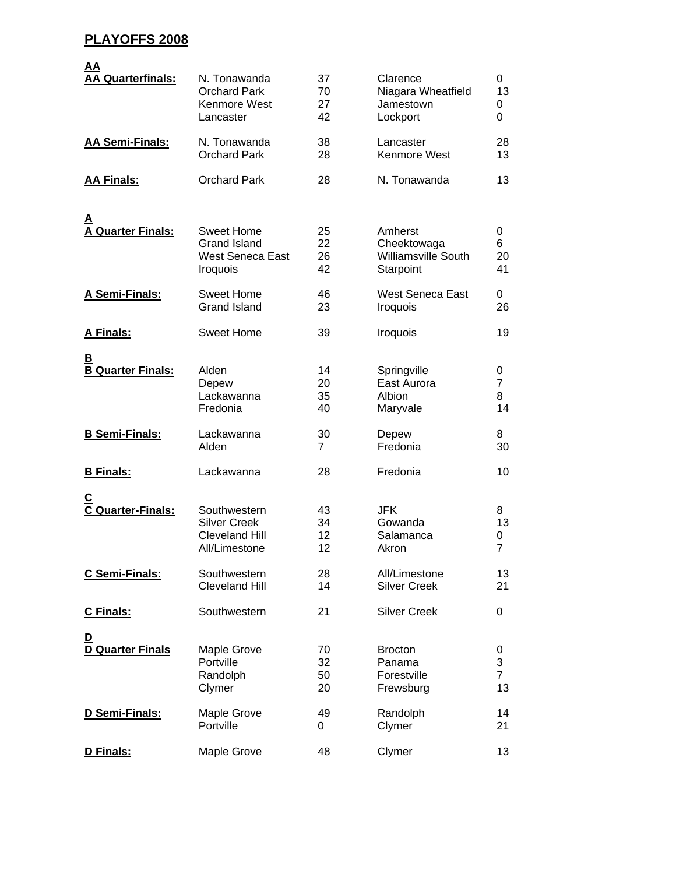### **PLAYOFFS 2008**

| <u>AA</u><br><b>AA Quarterfinals:</b> | N. Tonawanda<br><b>Orchard Park</b><br>Kenmore West<br>Lancaster                | 37<br>70<br>27<br>42 | Clarence<br>Niagara Wheatfield<br>Jamestown<br>Lockport           | 0<br>13<br>0<br>0              |
|---------------------------------------|---------------------------------------------------------------------------------|----------------------|-------------------------------------------------------------------|--------------------------------|
| <b>AA Semi-Finals:</b>                | N. Tonawanda<br><b>Orchard Park</b>                                             | 38<br>28             | Lancaster<br>Kenmore West                                         | 28<br>13                       |
| <b>AA Finals:</b>                     | <b>Orchard Park</b>                                                             | 28                   | N. Tonawanda                                                      | 13                             |
| <b>A Quarter Finals:</b>              | <b>Sweet Home</b><br><b>Grand Island</b><br><b>West Seneca East</b><br>Iroquois | 25<br>22<br>26<br>42 | Amherst<br>Cheektowaga<br><b>Williamsville South</b><br>Starpoint | 0<br>6<br>20<br>41             |
| A Semi-Finals:                        | <b>Sweet Home</b><br><b>Grand Island</b>                                        | 46<br>23             | <b>West Seneca East</b><br>Iroquois                               | 0<br>26                        |
| A Finals:                             | <b>Sweet Home</b>                                                               | 39                   | Iroquois                                                          | 19                             |
| <u>B</u><br><b>B Quarter Finals:</b>  | Alden<br>Depew<br>Lackawanna<br>Fredonia                                        | 14<br>20<br>35<br>40 | Springville<br>East Aurora<br>Albion<br>Maryvale                  | 0<br>7<br>8<br>14              |
| <b>B Semi-Finals:</b>                 | Lackawanna<br>Alden                                                             | 30<br>7              | Depew<br>Fredonia                                                 | 8<br>30                        |
| <b>B</b> Finals:                      | Lackawanna                                                                      | 28                   | Fredonia                                                          | 10                             |
| C Quarter-Finals:                     | Southwestern<br><b>Silver Creek</b><br><b>Cleveland Hill</b><br>All/Limestone   | 43<br>34<br>12<br>12 | <b>JFK</b><br>Gowanda<br>Salamanca<br>Akron                       | 8<br>13<br>0<br>$\overline{7}$ |
| C Semi-Finals:                        | Southwestern<br><b>Cleveland Hill</b>                                           | 28<br>14             | All/Limestone<br><b>Silver Creek</b>                              | 13<br>21                       |
| <b>C</b> Finals:                      | Southwestern                                                                    | 21                   | <b>Silver Creek</b>                                               | 0                              |
| <u>D</u><br><b>D Quarter Finals</b>   | Maple Grove<br>Portville<br>Randolph<br>Clymer                                  | 70<br>32<br>50<br>20 | <b>Brocton</b><br>Panama<br>Forestville<br>Frewsburg              | 0<br>3<br>$\overline{7}$<br>13 |
| D Semi-Finals:                        | Maple Grove<br>Portville                                                        | 49<br>0              | Randolph<br>Clymer                                                | 14<br>21                       |
| D Finals:                             | Maple Grove                                                                     | 48                   | Clymer                                                            | 13                             |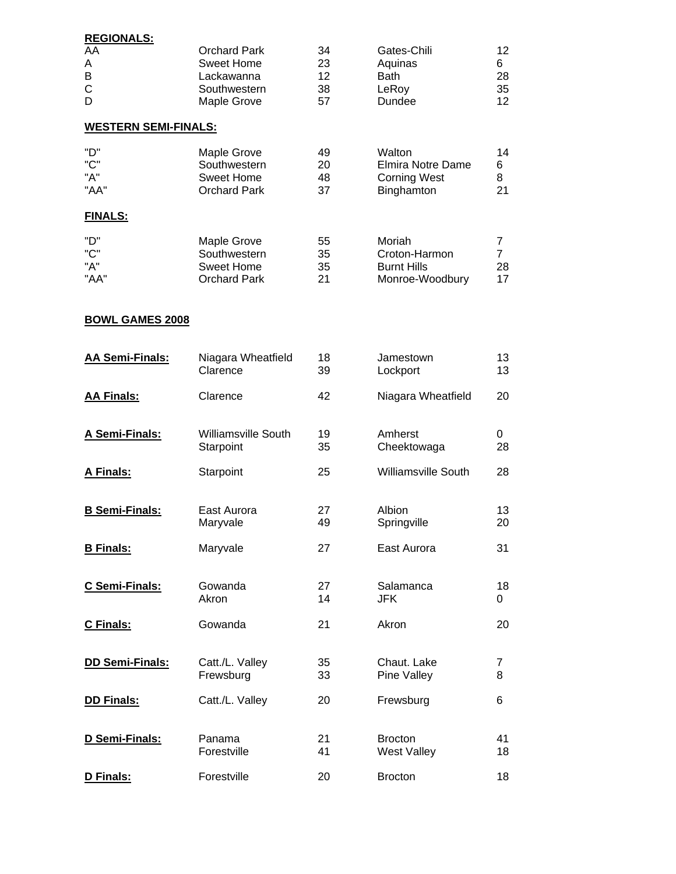| <b>REGIONALS:</b>           |                            |          |                            |                |
|-----------------------------|----------------------------|----------|----------------------------|----------------|
| AA                          | <b>Orchard Park</b>        | 34       | Gates-Chili                | 12             |
| Α                           | <b>Sweet Home</b>          | 23       | Aquinas                    | 6              |
| B                           | Lackawanna                 | 12       | <b>Bath</b>                | 28             |
| C                           | Southwestern               | 38       | LeRoy                      | 35             |
| D                           | Maple Grove                | 57       | Dundee                     | 12             |
| <b>WESTERN SEMI-FINALS:</b> |                            |          |                            |                |
| "D"                         | Maple Grove                | 49       | Walton                     | 14             |
| "C"                         | Southwestern               | 20       | <b>Elmira Notre Dame</b>   | 6              |
| "A"                         | <b>Sweet Home</b>          | 48       | <b>Corning West</b>        | 8              |
| "AA"                        | <b>Orchard Park</b>        | 37       | Binghamton                 | 21             |
| <b>FINALS:</b>              |                            |          |                            |                |
| "D"                         | <b>Maple Grove</b>         | 55       | Moriah                     | 7              |
| "C"                         | Southwestern               | 35       | Croton-Harmon              | $\overline{7}$ |
| "A"                         | <b>Sweet Home</b>          | 35       | <b>Burnt Hills</b>         | 28             |
| "AA"                        | <b>Orchard Park</b>        | 21       | Monroe-Woodbury            | 17             |
|                             |                            |          |                            |                |
| <b>BOWL GAMES 2008</b>      |                            |          |                            |                |
| <b>AA Semi-Finals:</b>      | Niagara Wheatfield         | 18       | Jamestown                  | 13             |
|                             | Clarence                   | 39       | Lockport                   | 13             |
| <b>AA Finals:</b>           | Clarence                   | 42       | Niagara Wheatfield         | 20             |
|                             |                            |          |                            |                |
|                             | <b>Williamsville South</b> |          |                            |                |
| A Semi-Finals:              | Starpoint                  | 19<br>35 | Amherst<br>Cheektowaga     | 0<br>28        |
|                             |                            |          |                            |                |
| A Finals:                   | Starpoint                  | 25       | <b>Williamsville South</b> | 28             |
|                             |                            |          |                            |                |
| <b>B Semi-Finals:</b>       | East Aurora                | 27       | Albion                     | 13             |
|                             | Maryvale                   | 49       | Springville                | 20             |
|                             |                            |          |                            |                |
| <b>B</b> Finals:            | Maryvale                   | 27       | East Aurora                | 31             |
|                             |                            |          |                            |                |
| C Semi-Finals:              | Gowanda                    | 27       | Salamanca                  | 18             |
|                             | Akron                      | 14       | <b>JFK</b>                 | 0              |
| C Finals:                   | Gowanda                    | 21       | Akron                      | 20             |
|                             |                            |          |                            |                |
|                             |                            |          |                            |                |
| DD Semi-Finals:             | Catt./L. Valley            | 35       | Chaut. Lake                | 7              |
|                             | Frewsburg                  | 33       | Pine Valley                | 8              |
| <b>DD Finals:</b>           | Catt./L. Valley            | 20       | Frewsburg                  | 6              |
|                             |                            |          |                            |                |
| D Semi-Finals:              | Panama                     | 21       | <b>Brocton</b>             | 41             |
|                             | Forestville                | 41       | <b>West Valley</b>         | 18             |
|                             |                            |          |                            |                |
| D Finals:                   | Forestville                | 20       | <b>Brocton</b>             | 18             |